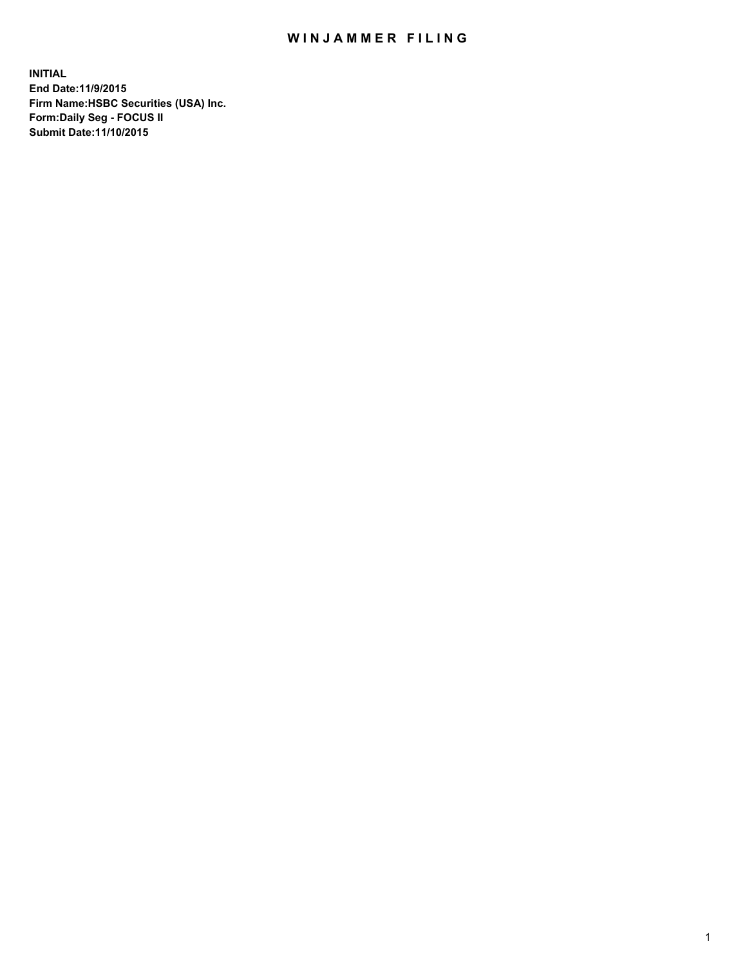## WIN JAMMER FILING

**INITIAL End Date:11/9/2015 Firm Name:HSBC Securities (USA) Inc. Form:Daily Seg - FOCUS II Submit Date:11/10/2015**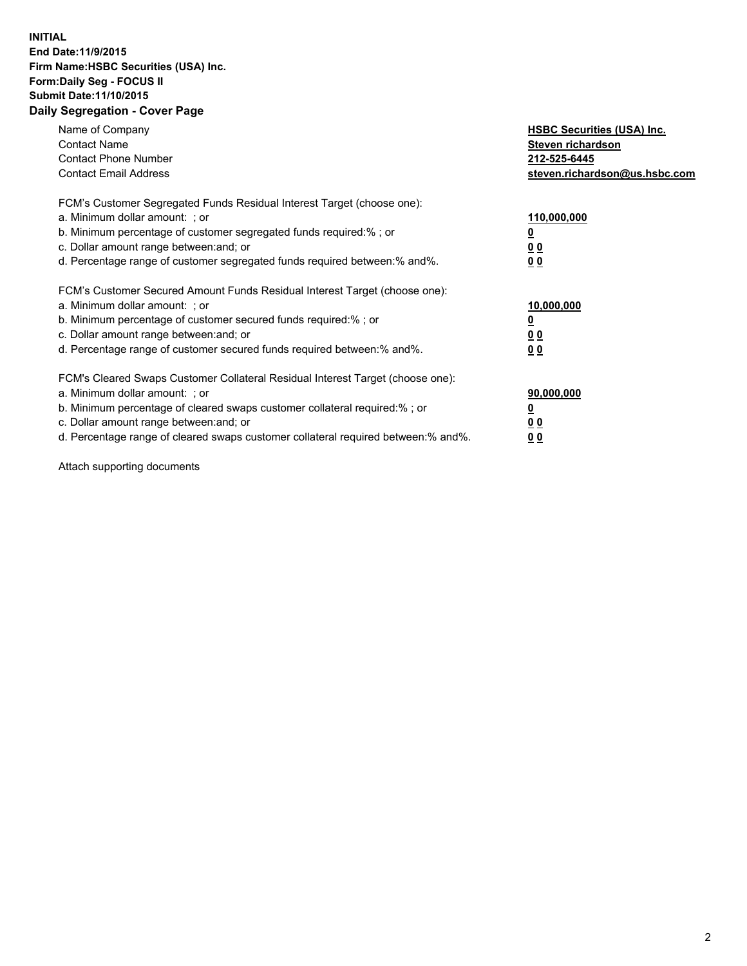## **INITIAL End Date:11/9/2015 Firm Name:HSBC Securities (USA) Inc. Form:Daily Seg - FOCUS II Submit Date:11/10/2015 Daily Segregation - Cover Page**

| Name of Company<br><b>Contact Name</b><br><b>Contact Phone Number</b><br><b>Contact Email Address</b>                                                                                                                                                                                                                         | <b>HSBC Securities (USA) Inc.</b><br>Steven richardson<br>212-525-6445<br>steven.richardson@us.hsbc.com |
|-------------------------------------------------------------------------------------------------------------------------------------------------------------------------------------------------------------------------------------------------------------------------------------------------------------------------------|---------------------------------------------------------------------------------------------------------|
| FCM's Customer Segregated Funds Residual Interest Target (choose one):<br>a. Minimum dollar amount: ; or<br>b. Minimum percentage of customer segregated funds required:%; or<br>c. Dollar amount range between: and; or<br>d. Percentage range of customer segregated funds required between:% and%.                         | 110,000,000<br><u>0</u><br>0 <sub>0</sub><br>0 <sub>0</sub>                                             |
| FCM's Customer Secured Amount Funds Residual Interest Target (choose one):<br>a. Minimum dollar amount: ; or<br>b. Minimum percentage of customer secured funds required:%; or<br>c. Dollar amount range between: and; or<br>d. Percentage range of customer secured funds required between:% and%.                           | 10,000,000<br><u>0</u><br>0 <sub>0</sub><br>0 <sub>0</sub>                                              |
| FCM's Cleared Swaps Customer Collateral Residual Interest Target (choose one):<br>a. Minimum dollar amount: ; or<br>b. Minimum percentage of cleared swaps customer collateral required:%; or<br>c. Dollar amount range between: and; or<br>d. Percentage range of cleared swaps customer collateral required between:% and%. | 90,000,000<br><u>0</u><br>0 <sub>0</sub><br>0 <sub>0</sub>                                              |

Attach supporting documents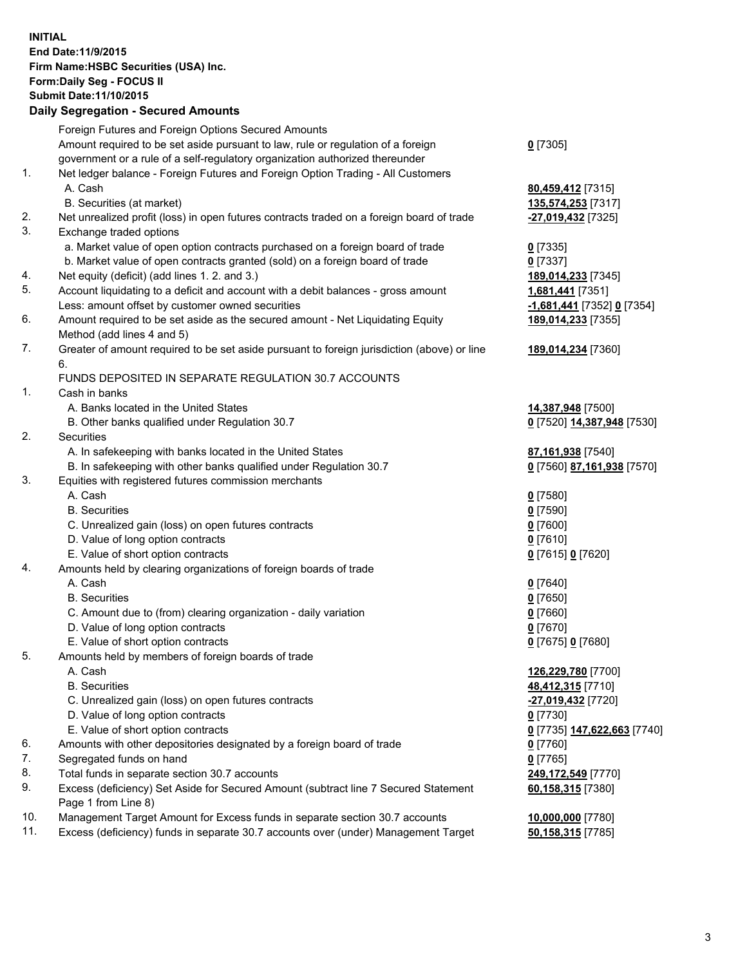**INITIAL End Date:11/9/2015 Firm Name:HSBC Securities (USA) Inc. Form:Daily Seg - FOCUS II Submit Date:11/10/2015 Daily Segregation - Secured Amounts**

## Foreign Futures and Foreign Options Secured Amounts Amount required to be set aside pursuant to law, rule or regulation of a foreign government or a rule of a self-regulatory organization authorized thereunder 1. Net ledger balance - Foreign Futures and Foreign Option Trading - All Customers A. Cash **80,459,412** [7315] B. Securities (at market) **135,574,253** [7317] 2. Net unrealized profit (loss) in open futures contracts traded on a foreign board of trade **-27,019,432** [7325] 3. Exchange traded options a. Market value of open option contracts purchased on a foreign board of trade **0** [7335] b. Market value of open contracts granted (sold) on a foreign board of trade **0** [7337] 4. Net equity (deficit) (add lines 1. 2. and 3.) **189,014,233** [7345] 5. Account liquidating to a deficit and account with a debit balances - gross amount **1,681,441** [7351] Less: amount offset by customer owned securities **-1,681,441** [7352] **0** [7354] 6. Amount required to be set aside as the secured amount - Net Liquidating Equity Method (add lines 4 and 5) 7. Greater of amount required to be set aside pursuant to foreign jurisdiction (above) or line 6. FUNDS DEPOSITED IN SEPARATE REGULATION 30.7 ACCOUNTS 1. Cash in banks A. Banks located in the United States **14,387,948** [7500] B. Other banks qualified under Regulation 30.7 **0** [7520] **14,387,948** [7530] 2. Securities A. In safekeeping with banks located in the United States **87,161,938** [7540]

| B. In safekeeping with other banks qualified under Regulation 30.7 |  |  |
|--------------------------------------------------------------------|--|--|

- 3. Equities with registered futures commission merchants
	- A. Cash **0** [7580]
		-
	- C. Unrealized gain (loss) on open futures contracts **0** [7600]
	- D. Value of long option contracts **0** [7610]
	- E. Value of short option contracts **0** [7615] **0** [7620]
- 4. Amounts held by clearing organizations of foreign boards of trade
	-
	- B. Securities **0** [7650]
	- C. Amount due to (from) clearing organization daily variation **0** [7660]
	- D. Value of long option contracts **0** [7670]
	- E. Value of short option contracts **0** [7675] **0** [7680]
- 5. Amounts held by members of foreign boards of trade
	-
	-
	- C. Unrealized gain (loss) on open futures contracts **-27,019,432** [7720]
	- D. Value of long option contracts **0** [7730]
	- E. Value of short option contracts **0** [7735] **147,622,663** [7740]
- 6. Amounts with other depositories designated by a foreign board of trade **0** [7760]
- 7. Segregated funds on hand **0** [7765]
- 8. Total funds in separate section 30.7 accounts **249,172,549** [7770]
- 9. Excess (deficiency) Set Aside for Secured Amount (subtract line 7 Secured Statement Page 1 from Line 8)
- 10. Management Target Amount for Excess funds in separate section 30.7 accounts **10,000,000** [7780]
- 11. Excess (deficiency) funds in separate 30.7 accounts over (under) Management Target **50,158,315** [7785]

**189,014,233** [7355]

**189,014,234** [7360]

B. In safekeeping with other banks qualified under Regulation 30.7 **0** [7560] **87,161,938** [7570]

 B. Securities **0** [7590] A. Cash **0** [7640]

 A. Cash **126,229,780** [7700] B. Securities **48,412,315** [7710] **60,158,315** [7380]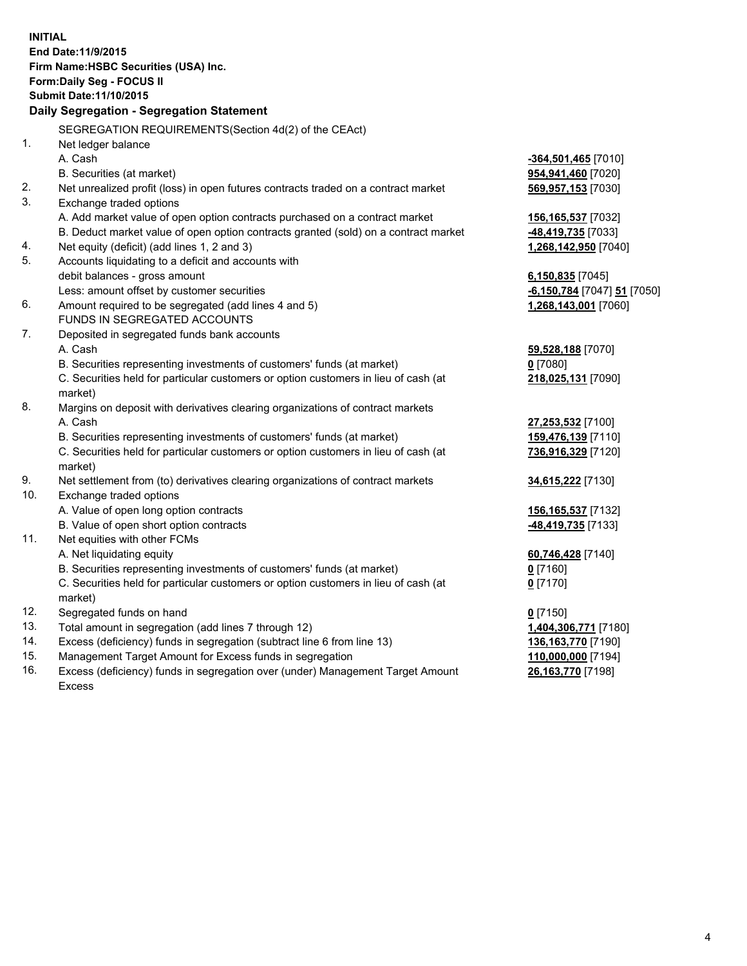**INITIAL End Date:11/9/2015 Firm Name:HSBC Securities (USA) Inc. Form:Daily Seg - FOCUS II Submit Date:11/10/2015 Daily Segregation - Segregation Statement** SEGREGATION REQUIREMENTS(Section 4d(2) of the CEAct) 1. Net ledger balance A. Cash **-364,501,465** [7010] B. Securities (at market) **954,941,460** [7020] 2. Net unrealized profit (loss) in open futures contracts traded on a contract market **569,957,153** [7030] 3. Exchange traded options A. Add market value of open option contracts purchased on a contract market **156,165,537** [7032] B. Deduct market value of open option contracts granted (sold) on a contract market **-48,419,735** [7033] 4. Net equity (deficit) (add lines 1, 2 and 3) **1,268,142,950** [7040] 5. Accounts liquidating to a deficit and accounts with debit balances - gross amount **6,150,835** [7045] Less: amount offset by customer securities **-6,150,784** [7047] **51** [7050] 6. Amount required to be segregated (add lines 4 and 5) **1,268,143,001** [7060] FUNDS IN SEGREGATED ACCOUNTS 7. Deposited in segregated funds bank accounts A. Cash **59,528,188** [7070] B. Securities representing investments of customers' funds (at market) **0** [7080] C. Securities held for particular customers or option customers in lieu of cash (at market) **218,025,131** [7090] 8. Margins on deposit with derivatives clearing organizations of contract markets A. Cash **27,253,532** [7100] B. Securities representing investments of customers' funds (at market) **159,476,139** [7110] C. Securities held for particular customers or option customers in lieu of cash (at market) **736,916,329** [7120] 9. Net settlement from (to) derivatives clearing organizations of contract markets **34,615,222** [7130] 10. Exchange traded options A. Value of open long option contracts **156,165,537** [7132] B. Value of open short option contracts **-48,419,735** [7133] 11. Net equities with other FCMs A. Net liquidating equity **60,746,428** [7140] B. Securities representing investments of customers' funds (at market) **0** [7160] C. Securities held for particular customers or option customers in lieu of cash (at market) **0** [7170] 12. Segregated funds on hand **0** [7150] 13. Total amount in segregation (add lines 7 through 12) **1,404,306,771** [7180] 14. Excess (deficiency) funds in segregation (subtract line 6 from line 13) **136,163,770** [7190] 15. Management Target Amount for Excess funds in segregation **110,000,000** [7194]

16. Excess (deficiency) funds in segregation over (under) Management Target Amount Excess

**26,163,770** [7198]